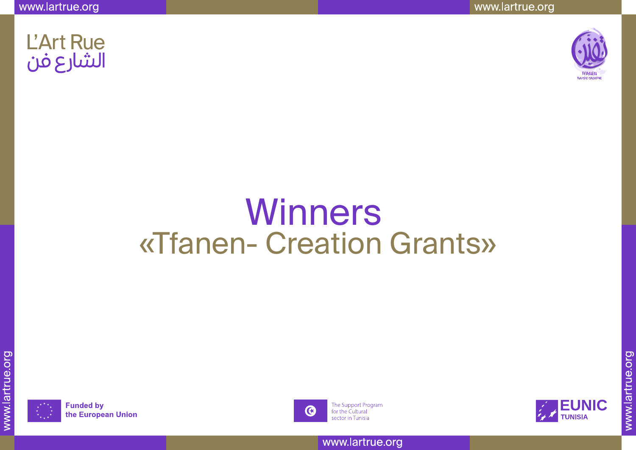www.lartrue.org



# **L'Art Rue** الشارع فن

# Winners «Tfanen- Creation Grants»



**Funded by** the European Union



The Support Program for the Cultural sector in Tunisia

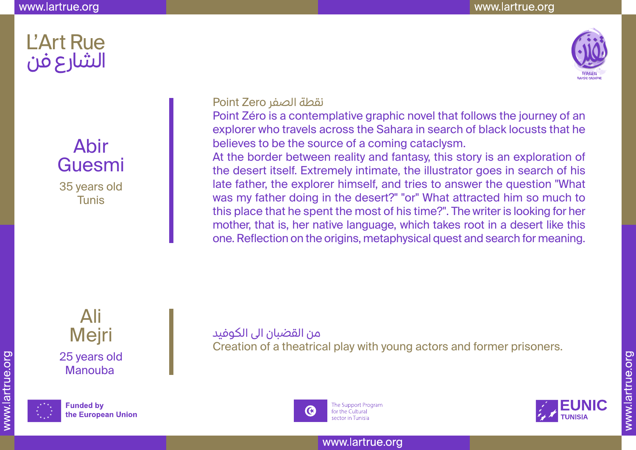

## Abir Guesmi 35 years old **Tunis**

نقطة الصفر Zero Point

Point Zéro is a contemplative graphic novel that follows the journey of an explorer who travels across the Sahara in search of black locusts that he believes to be the source of a coming cataclysm.

At the border between reality and fantasy, this story is an exploration of the desert itself. Extremely intimate, the illustrator goes in search of his late father, the explorer himself, and tries to answer the question "What was my father doing in the desert?" "or" What attracted him so much to this place that he spent the most of his time?". The writer is looking for her mother, that is, her native language, which takes root in a desert like this one. Reflection on the origins, metaphysical quest and search for meaning.

Ali Mejri 25 years old Manouba



**Funded by** the European Union من القضبان الى الكوفيد Creation of a theatrical play with young actors and former prisoners.



The Support Program for the Cultural sector in Tunisia

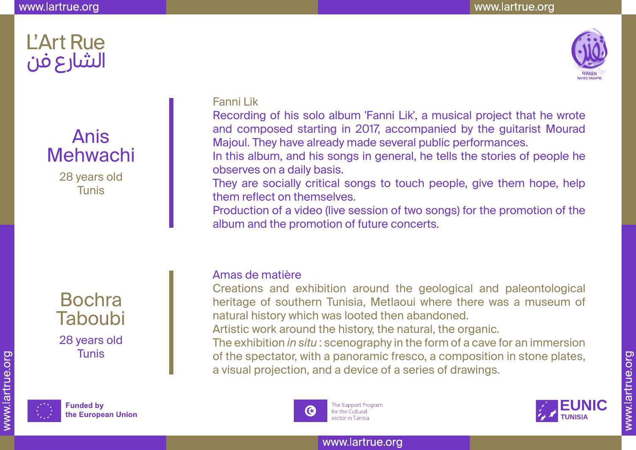

# Anis Mehwachi

28 years old Tunis





**Funded by** the European Union

### Fanni Lik

Recording of his solo album 'Fanni Lik', a musical project that he wrote and composed starting in 2017, accompanied by the guitarist Mourad Majoul. They have already made several public performances.

In this album, and his songs in general, he tells the stories of people he observes on a daily basis.

They are socially critical songs to touch people, give them hope, help them reflect on themselves.

Production of a video (live session of two songs) for the promotion of the album and the promotion of future concerts.

#### Amas de matière

Creations and exhibition around the geological and paleontological heritage of southern Tunisia, Metlaoui where there was a museum of natural history which was looted then abandoned.

Artistic work around the history, the natural, the organic.

The exhibition *in situ* : scenography in the form of a cave for an immersion of the spectator, with a panoramic fresco, a composition in stone plates, a visual projection, and a device of a series of drawings.



The Support Program for the Cultural sector in Tunisia

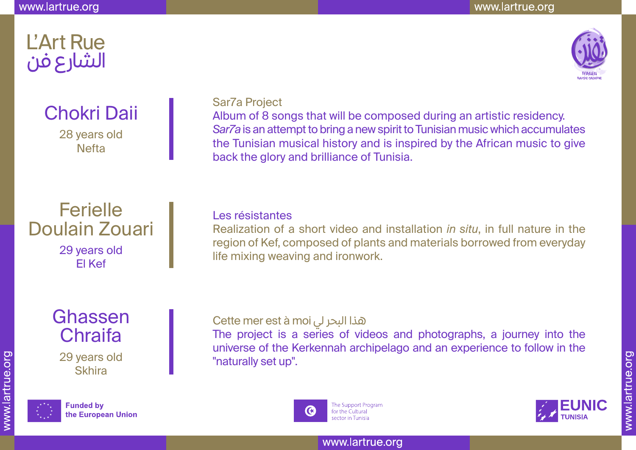

# Chokri Daii

28 years old Nefta

## **Ferielle** Doulain Zouari 29 years old El Kef

Ghassen **Chraifa** 29 years old **Skhira** 



**Funded by** the European Union

### Sar7a Project

Album of 8 songs that will be composed during an artistic residency. *Sar7a* is an attempt to bring a new spirit to Tunisian music which accumulates the Tunisian musical history and is inspired by the African music to give back the glory and brilliance of Tunisia.

#### Les résistantes

Realization of a short video and installation *in situ*, in full nature in the region of Kef, composed of plants and materials borrowed from everyday life mixing weaving and ironwork.

### Cette mer est à moi لي البحر هذا

The project is a series of videos and photographs, a journey into the universe of the Kerkennah archipelago and an experience to follow in the "naturally set up".



The Support Program for the Cultural sector in Tunisia

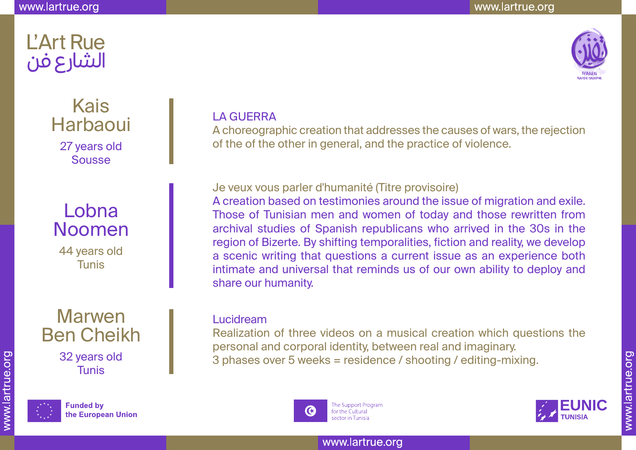**L'Art Rue** 

الشارع فن



Kais **Harbaoui** 27 years old

Sousse

# Lobna Noomen

44 years old Tunis

## Marwen Ben Cheikh 32 years old Tunis



**Funded by** the European Union

### LA GUERRA

A choreographic creation that addresses the causes of wars, the rejection of the of the other in general, and the practice of violence.

Je veux vous parler d'humanité (Titre provisoire)

A creation based on testimonies around the issue of migration and exile. Those of Tunisian men and women of today and those rewritten from archival studies of Spanish republicans who arrived in the 30s in the region of Bizerte. By shifting temporalities, fiction and reality, we develop a scenic writing that questions a current issue as an experience both intimate and universal that reminds us of our own ability to deploy and share our humanity.

#### Lucidream

Realization of three videos on a musical creation which questions the personal and corporal identity, between real and imaginary. 3 phases over 5 weeks = residence / shooting / editing-mixing.



The Support Program for the Cultural sector in Tunisia

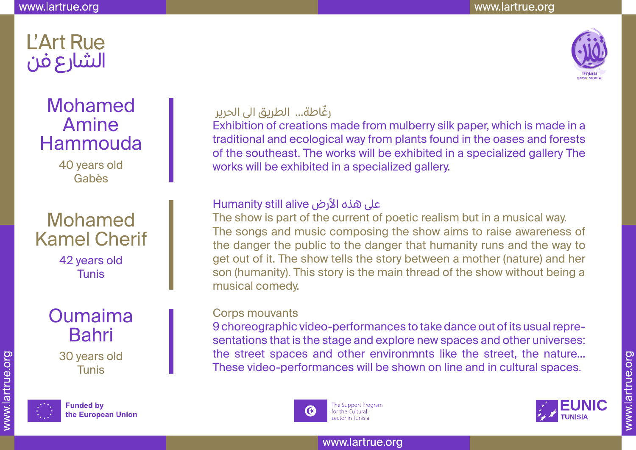

# Mohamed Amine Hammouda

40 years old Gabès

# Mohamed Kamel Cherif

42 years old Tunis

## Oumaima Bahri 30 years old Tunis



**Funded by** the European Union

### ّرغاطة... الطريق الى الحرير

Exhibition of creations made from mulberry silk paper, which is made in a traditional and ecological way from plants found in the oases and forests of the southeast. The works will be exhibited in a specialized gallery The works will be exhibited in a specialized gallery.

### على هذه الأرض Humanity still alive

The show is part of the current of poetic realism but in a musical way. The songs and music composing the show aims to raise awareness of the danger the public to the danger that humanity runs and the way to get out of it. The show tells the story between a mother (nature) and her son (humanity). This story is the main thread of the show without being a musical comedy.

#### Corps mouvants

9 choreographic video-performances to take dance out of its usual representations that is the stage and explore new spaces and other universes: the street spaces and other environmnts like the street, the nature... These video-performances will be shown on line and in cultural spaces.



The Support Program for the Cultural sector in Tunisia